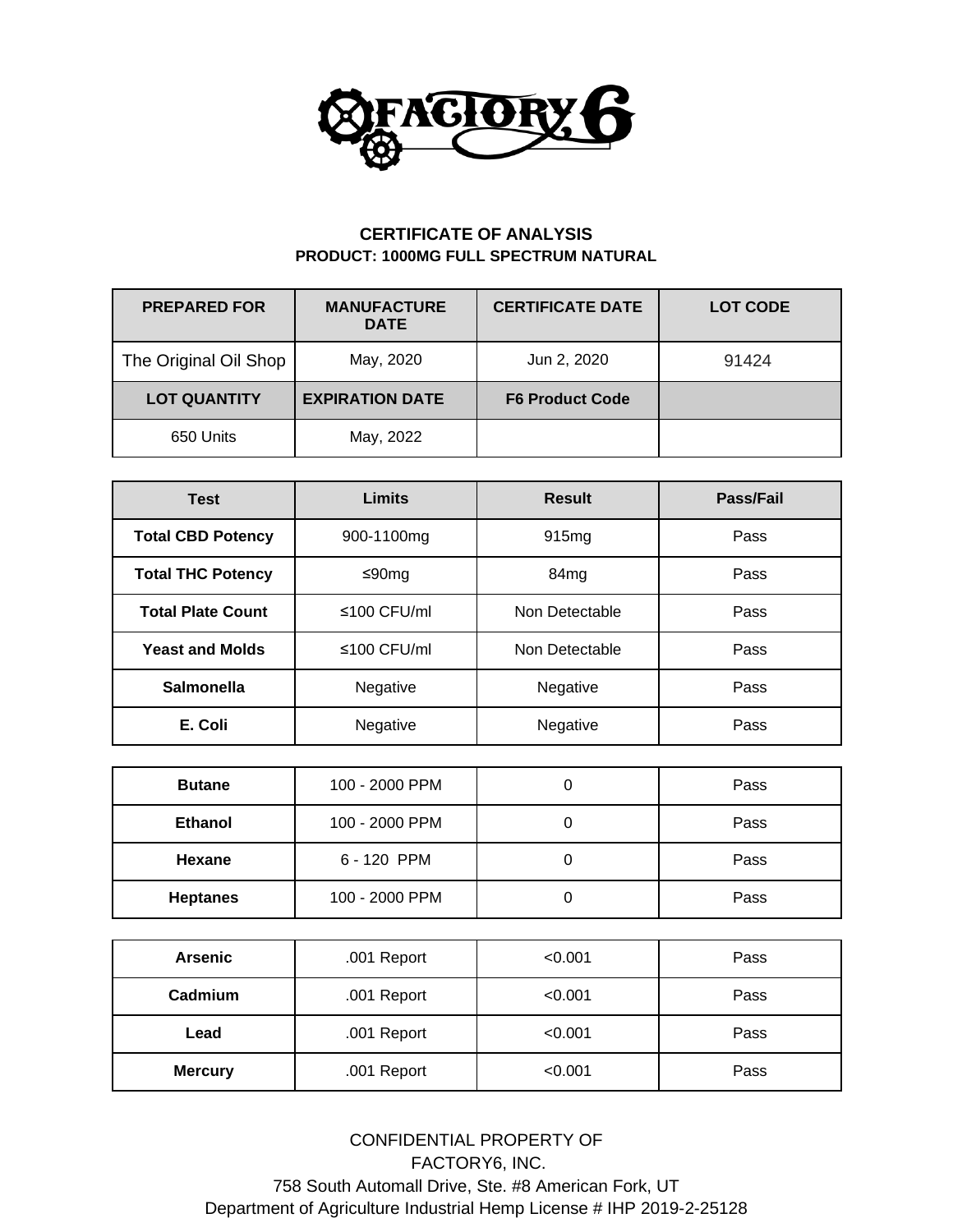

## **CERTIFICATE OF ANALYSIS PRODUCT: 1000MG FULL SPECTRUM NATURAL**

| <b>PREPARED FOR</b>   | <b>CERTIFICATE DATE</b><br><b>MANUFACTURE</b><br><b>DATE</b> |                        | <b>LOT CODE</b> |
|-----------------------|--------------------------------------------------------------|------------------------|-----------------|
| The Original Oil Shop | May, 2020<br>Jun 2, 2020                                     |                        | 91424           |
| <b>LOT QUANTITY</b>   | <b>EXPIRATION DATE</b>                                       | <b>F6 Product Code</b> |                 |
| 650 Units             | May, 2022                                                    |                        |                 |

| <b>Test</b>              | Limits               | <b>Result</b>     | Pass/Fail |  |
|--------------------------|----------------------|-------------------|-----------|--|
| <b>Total CBD Potency</b> | 900-1100mg           | 915 <sub>mg</sub> | Pass      |  |
| <b>Total THC Potency</b> | ≤90mg                | 84 <sub>mg</sub>  | Pass      |  |
| <b>Total Plate Count</b> | ≤100 CFU/ml          | Non Detectable    | Pass      |  |
| <b>Yeast and Molds</b>   | $\leq 100$ CFU/ml    | Non Detectable    | Pass      |  |
| <b>Salmonella</b>        | Negative             | Negative<br>Pass  |           |  |
| E. Coli                  | Negative<br>Negative |                   | Pass      |  |

| <b>Butane</b>   | 100 - 2000 PPM   | U | Pass |  |
|-----------------|------------------|---|------|--|
| <b>Ethanol</b>  | 100 - 2000 PPM   |   | Pass |  |
| Hexane          | 6 - 120 PPM<br>Ü |   | Pass |  |
| <b>Heptanes</b> | 100 - 2000 PPM   |   | Pass |  |

| <b>Arsenic</b>                | .001 Report | < 0.001 | Pass |
|-------------------------------|-------------|---------|------|
| Cadmium                       | .001 Report | < 0.001 | Pass |
| Lead                          | .001 Report | < 0.001 | Pass |
| <b>Mercury</b><br>.001 Report |             | < 0.001 | Pass |

CONFIDENTIAL PROPERTY OF FACTORY6, INC. 758 South Automall Drive, Ste. #8 American Fork, UT Department of Agriculture Industrial Hemp License # IHP 2019-2-25128